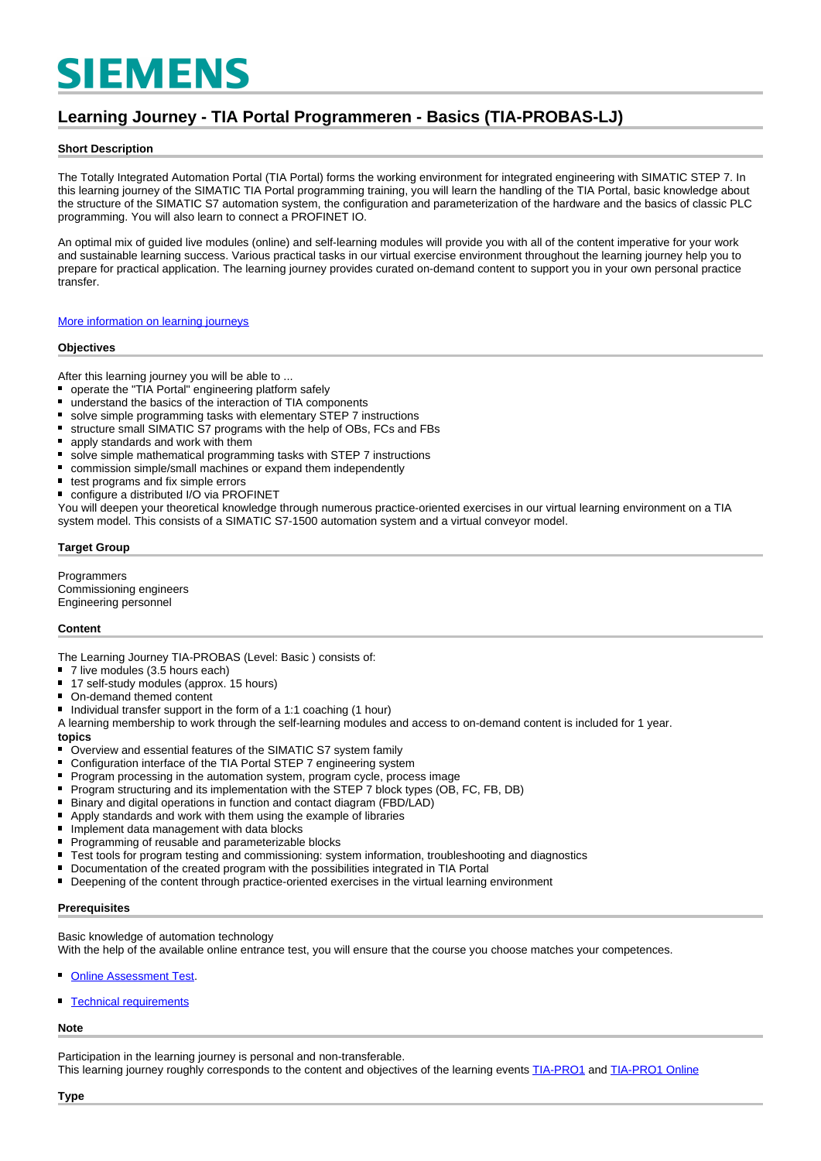# **SIEMENS**

## **Learning Journey - TIA Portal Programmeren - Basics (TIA-PROBAS-LJ)**

#### **Short Description**

The Totally Integrated Automation Portal (TIA Portal) forms the working environment for integrated engineering with SIMATIC STEP 7. In this learning journey of the SIMATIC TIA Portal programming training, you will learn the handling of the TIA Portal, basic knowledge about the structure of the SIMATIC S7 automation system, the configuration and parameterization of the hardware and the basics of classic PLC programming. You will also learn to connect a PROFINET IO.

An optimal mix of guided live modules (online) and self-learning modules will provide you with all of the content imperative for your work and sustainable learning success. Various practical tasks in our virtual exercise environment throughout the learning journey help you to prepare for practical application. The learning journey provides curated on-demand content to support you in your own personal practice transfer.

[More information on learning journeys](https://www.sitrain-learning.siemens.com/DE/en/rw40015/SITRAIN-Learning-Journey)

#### **Objectives**

After this learning journey you will be able to ...

- $\blacksquare$ operate the "TIA Portal" engineering platform safely
- understand the basics of the interaction of TIA components  $\blacksquare$
- solve simple programming tasks with elementary STEP 7 instructions
- $\blacksquare$ structure small SIMATIC S7 programs with the help of OBs, FCs and FBs
- apply standards and work with them
- solve simple mathematical programming tasks with STEP 7 instructions  $\blacksquare$
- $\blacksquare$ commission simple/small machines or expand them independently
- $\blacksquare$ test programs and fix simple errors
- configure a distributed I/O via PROFINET

You will deepen your theoretical knowledge through numerous practice-oriented exercises in our virtual learning environment on a TIA system model. This consists of a SIMATIC S7-1500 automation system and a virtual conveyor model.

#### **Target Group**

Programmers Commissioning engineers Engineering personnel

#### **Content**

The Learning Journey TIA-PROBAS (Level: Basic ) consists of:

- 7 live modules (3.5 hours each)
- 17 self-study modules (approx. 15 hours)
- On-demand themed content
- Individual transfer support in the form of a 1:1 coaching (1 hour)

A learning membership to work through the self-learning modules and access to on-demand content is included for 1 year. **topics**

- Overview and essential features of the SIMATIC S7 system family
- Configuration interface of the TIA Portal STEP 7 engineering system
- $\blacksquare$ Program processing in the automation system, program cycle, process image
- $\blacksquare$ Program structuring and its implementation with the STEP 7 block types (OB, FC, FB, DB)
- Binary and digital operations in function and contact diagram (FBD/LAD)
- $\blacksquare$ Apply standards and work with them using the example of libraries
- $\blacksquare$ Implement data management with data blocks
- $\blacksquare$ Programming of reusable and parameterizable blocks
- $\blacksquare$ Test tools for program testing and commissioning: system information, troubleshooting and diagnostics
- Documentation of the created program with the possibilities integrated in TIA Portal
- Deepening of the content through practice-oriented exercises in the virtual learning environment  $\blacksquare$

#### **Prerequisites**

Basic knowledge of automation technology

With the help of the available online entrance test, you will ensure that the course you choose matches your competences.

- [Online Assessment Test.](https://wbt.siemens.com/sitrain/TIA-PRO1_EN/)
- [Technical requirements](https://www.sitrain-learning.siemens.com/DE/en/content/SITRAIN-Learning-Journey/Technical-requirements-learning-journey.do)

#### **Note**

Participation in the learning journey is personal and non-transferable.

This learning journey roughly corresponds to the content and objectives of the learning events [TIA-PRO1](https://www.sitrain-learning.siemens.com/DE/en/rw89904/SIMATIC-Programming-1-in-the-TIA-Portal) and [TIA-PRO1 Online](https://www.sitrain-learning.siemens.com/DE/en/rw73398/Online-Training-SIMATIC-Programming-1-in-the-TIA-Portal)